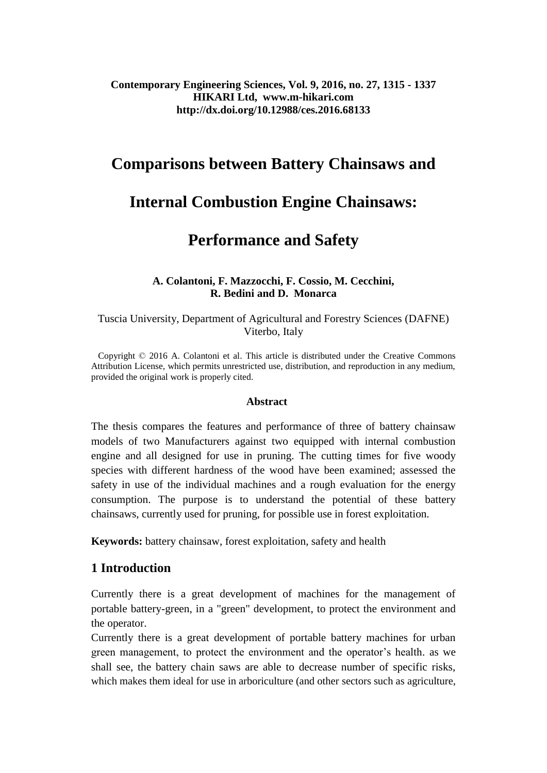# **Contemporary Engineering Sciences, Vol. 9, 2016, no. 27, 1315 - 1337 HIKARI Ltd, www.m-hikari.com http://dx.doi.org/10.12988/ces.2016.68133**

# **Comparisons between Battery Chainsaws and**

# **Internal Combustion Engine Chainsaws:**

# **Performance and Safety**

## **A. Colantoni, F. Mazzocchi, F. Cossio, M. Cecchini, R. Bedini and D. Monarca**

## Tuscia University, Department of Agricultural and Forestry Sciences (DAFNE) Viterbo, Italy

 Copyright © 2016 A. Colantoni et al. This article is distributed under the Creative Commons Attribution License, which permits unrestricted use, distribution, and reproduction in any medium, provided the original work is properly cited.

#### **Abstract**

The thesis compares the features and performance of three of battery chainsaw models of two Manufacturers against two equipped with internal combustion engine and all designed for use in pruning. The cutting times for five woody species with different hardness of the wood have been examined; assessed the safety in use of the individual machines and a rough evaluation for the energy consumption. The purpose is to understand the potential of these battery chainsaws, currently used for pruning, for possible use in forest exploitation.

**Keywords:** battery chainsaw, forest exploitation, safety and health

# **1 Introduction**

Currently there is a great development of machines for the management of portable battery-green, in a "green" development, to protect the environment and the operator.

Currently there is a great development of portable battery machines for urban green management, to protect the environment and the operator's health. as we shall see, the battery chain saws are able to decrease number of specific risks, which makes them ideal for use in arboriculture (and other sectors such as agriculture,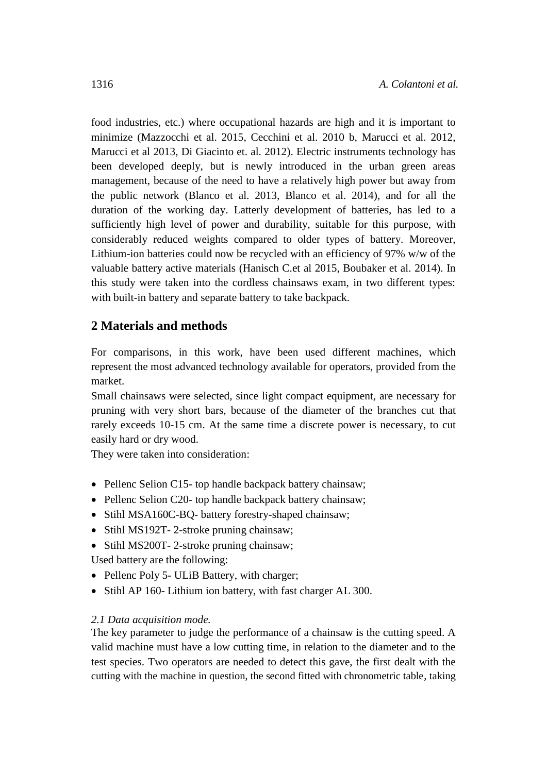food industries, etc.) where occupational hazards are high and it is important to minimize (Mazzocchi et al. 2015, Cecchini et al. 2010 b, Marucci et al. 2012, Marucci et al 2013, Di Giacinto et. al. 2012). Electric instruments technology has been developed deeply, but is newly introduced in the urban green areas management, because of the need to have a relatively high power but away from the public network (Blanco et al. 2013, Blanco et al. 2014), and for all the duration of the working day. Latterly development of batteries, has led to a sufficiently high level of power and durability, suitable for this purpose, with considerably reduced weights compared to older types of battery. Moreover, Lithium-ion batteries could now be recycled with an efficiency of 97% w/w of the valuable battery active materials (Hanisch C.et al 2015, Boubaker et al. 2014). In this study were taken into the cordless chainsaws exam, in two different types: with built-in battery and separate battery to take backpack.

# **2 Materials and methods**

For comparisons, in this work, have been used different machines, which represent the most advanced technology available for operators, provided from the market.

Small chainsaws were selected, since light compact equipment, are necessary for pruning with very short bars, because of the diameter of the branches cut that rarely exceeds 10-15 cm. At the same time a discrete power is necessary, to cut easily hard or dry wood.

They were taken into consideration:

- Pellenc Selion C15- top handle backpack battery chainsaw;
- Pellenc Selion C20- top handle backpack battery chainsaw;
- Stihl MSA160C-BQ- battery forestry-shaped chainsaw;
- Stihl MS192T- 2-stroke pruning chainsaw;
- Stihl MS200T-2-stroke pruning chainsaw;
- Used battery are the following:
- Pellenc Poly 5- ULiB Battery, with charger;
- Stihl AP 160- Lithium ion battery, with fast charger AL 300.

## *2.1 Data acquisition mode.*

The key parameter to judge the performance of a chainsaw is the cutting speed. A valid machine must have a low cutting time, in relation to the diameter and to the test species. Two operators are needed to detect this gave, the first dealt with the cutting with the machine in question, the second fitted with chronometric table, taking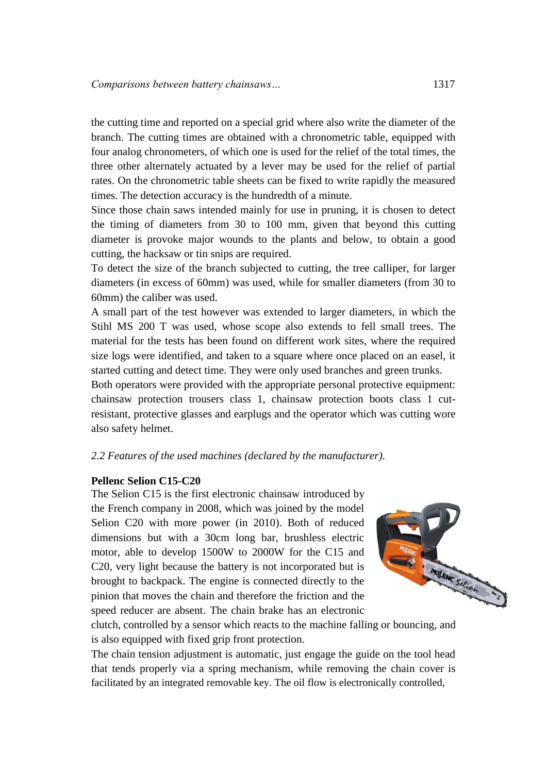the cutting time and reported on a special grid where also write the diameter of the branch. The cutting times are obtained with a chronometric table, equipped with four analog chronometers, of which one is used for the relief of the total times, the three other alternately actuated by a lever may be used for the relief of partial rates. On the chronometric table sheets can be fixed to write rapidly the measured times. The detection accuracy is the hundredth of a minute.

Since those chain saws intended mainly for use in pruning, it is chosen to detect the timing of diameters from 30 to 100 mm, given that beyond this cutting diameter is provoke major wounds to the plants and below, to obtain a good cutting, the hacksaw or tin snips are required.

To detect the size of the branch subjected to cutting, the tree calliper, for larger diameters (in excess of 60mm) was used, while for smaller diameters (from 30 to 60mm) the caliber was used.

A small part of the test however was extended to larger diameters, in which the Stihl MS 200 T was used, whose scope also extends to fell small trees. The material for the tests has been found on different work sites, where the required size logs were identified, and taken to a square where once placed on an easel, it started cutting and detect time. They were only used branches and green trunks.

Both operators were provided with the appropriate personal protective equipment: chainsaw protection trousers class 1, chainsaw protection boots class 1 cutresistant, protective glasses and earplugs and the operator which was cutting wore also safety helmet.

*2.2 Features of the used machines (declared by the manufacturer).*

### **Pellenc Selion C15-C20**

The Selion C15 is the first electronic chainsaw introduced by the French company in 2008, which was joined by the model Selion C20 with more power (in 2010). Both of reduced dimensions but with a 30cm long bar, brushless electric motor, able to develop 1500W to 2000W for the C15 and C20, very light because the battery is not incorporated but is brought to backpack. The engine is connected directly to the pinion that moves the chain and therefore the friction and the speed reducer are absent. The chain brake has an electronic



clutch, controlled by a sensor which reacts to the machine falling or bouncing, and is also equipped with fixed grip front protection.

The chain tension adjustment is automatic, just engage the guide on the tool head that tends properly via a spring mechanism, while removing the chain cover is facilitated by an integrated removable key. The oil flow is electronically controlled,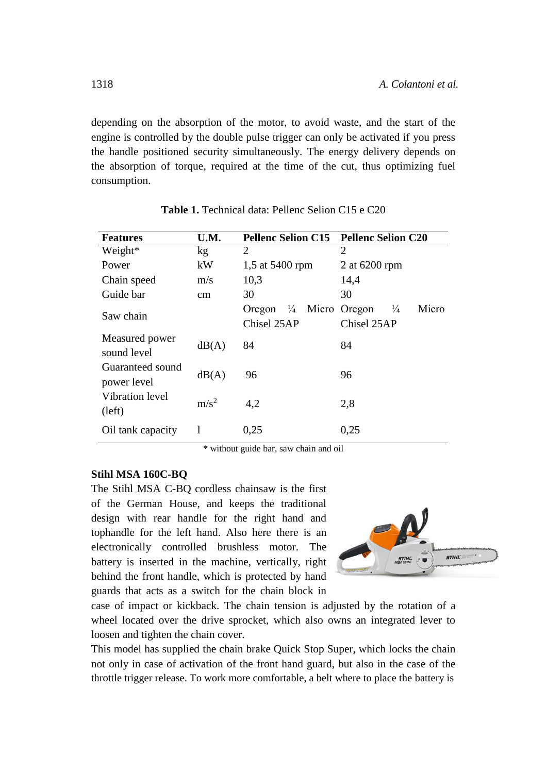depending on the absorption of the motor, to avoid waste, and the start of the engine is controlled by the double pulse trigger can only be activated if you press the handle positioned security simultaneously. The energy delivery depends on the absorption of torque, required at the time of the cut, thus optimizing fuel consumption.

| <b>Features</b>                 | U.M.    | <b>Pellenc Selion C15</b>                 | <b>Pellenc Selion C20</b>                       |
|---------------------------------|---------|-------------------------------------------|-------------------------------------------------|
| Weight*                         | kg      | 2                                         | 2                                               |
| Power                           | kW      | 1,5 at 5400 rpm                           | 2 at 6200 rpm                                   |
| Chain speed                     | m/s     | 10,3                                      | 14,4                                            |
| Guide bar                       | cm      | 30                                        | 30                                              |
| Saw chain                       |         | Oregon $\frac{1}{4}$ Micro<br>Chisel 25AP | Micro<br>$\frac{1}{4}$<br>Oregon<br>Chisel 25AP |
| Measured power<br>sound level   | dB(A)   | 84                                        | 84                                              |
| Guaranteed sound<br>power level | dB(A)   | 96                                        | 96                                              |
| Vibration level<br>(left)       | $m/s^2$ | 4,2                                       | 2,8                                             |
| Oil tank capacity               |         | 0.25                                      | 0,25                                            |

**Table 1.** Technical data: Pellenc Selion C15 e C20

\* without guide bar, saw chain and oil

#### **Stihl MSA 160C-BQ**

The Stihl MSA C-BQ cordless chainsaw is the first of the German House, and keeps the traditional design with rear handle for the right hand and tophandle for the left hand. Also here there is an electronically controlled brushless motor. The battery is inserted in the machine, vertically, right behind the front handle, which is protected by hand guards that acts as a switch for the chain block in



case of impact or kickback. The chain tension is adjusted by the rotation of a wheel located over the drive sprocket, which also owns an integrated lever to loosen and tighten the chain cover.

This model has supplied the chain brake Quick Stop Super, which locks the chain not only in case of activation of the front hand guard, but also in the case of the throttle trigger release. To work more comfortable, a belt where to place the battery is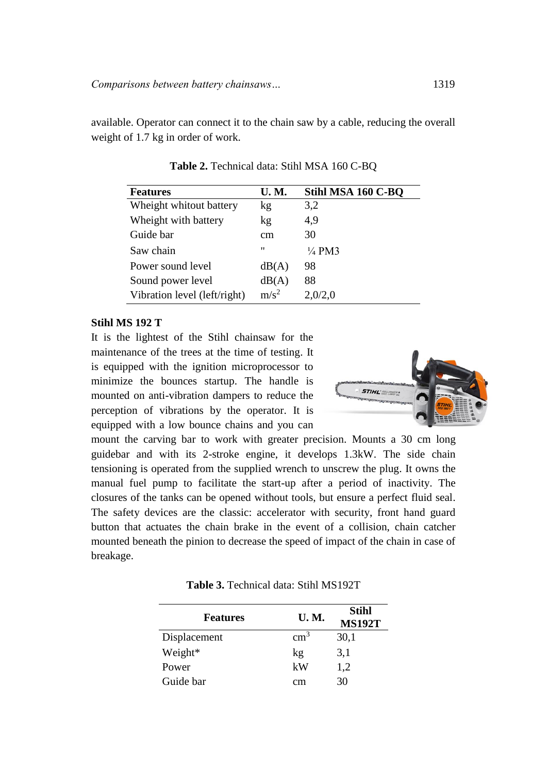available. Operator can connect it to the chain saw by a cable, reducing the overall weight of 1.7 kg in order of work.

| <b>Features</b>              | <b>U.M.</b>       | Stihl MSA 160 C-BQ |
|------------------------------|-------------------|--------------------|
| Wheight whitout battery      | kg                | 3,2                |
| Wheight with battery         | kg                | 4,9                |
| Guide bar                    | cm                | 30                 |
| Saw chain                    | $^{\prime\prime}$ | $\frac{1}{4}$ PM3  |
| Power sound level            | dB(A)             | 98                 |
| Sound power level            | dB(A)             | 88                 |
| Vibration level (left/right) | $m/s^2$           | 2,0/2,0            |

**Table 2.** Technical data: Stihl MSA 160 C-BQ

#### **Stihl MS 192 T**

It is the lightest of the Stihl chainsaw for the maintenance of the trees at the time of testing. It is equipped with the ignition microprocessor to minimize the bounces startup. The handle is mounted on anti-vibration dampers to reduce the perception of vibrations by the operator. It is equipped with a low bounce chains and you can



mount the carving bar to work with greater precision. Mounts a 30 cm long guidebar and with its 2-stroke engine, it develops 1.3kW. The side chain tensioning is operated from the supplied wrench to unscrew the plug. It owns the manual fuel pump to facilitate the start-up after a period of inactivity. The closures of the tanks can be opened without tools, but ensure a perfect fluid seal. The safety devices are the classic: accelerator with security, front hand guard button that actuates the chain brake in the event of a collision, chain catcher mounted beneath the pinion to decrease the speed of impact of the chain in case of breakage.

| <b>Features</b> | <b>U.M.</b>   | Stihl<br><b>MS192T</b> |
|-----------------|---------------|------------------------|
| Displacement    | $\text{cm}^3$ | 30,1                   |
| Weight*         | $\log$        | 3,1                    |
| Power           | kW            | 1,2                    |
| Guide bar       | cm            | 30                     |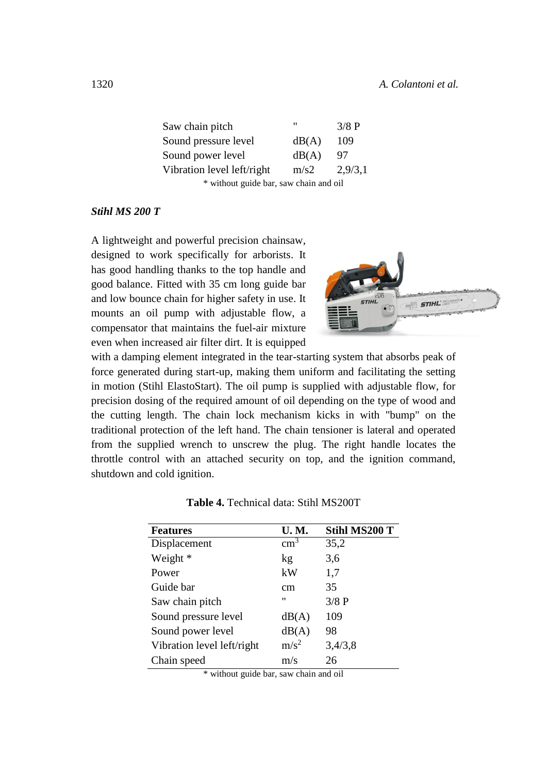| Saw chain pitch                        | "     | 3/8 P   |  |  |
|----------------------------------------|-------|---------|--|--|
| Sound pressure level                   | dB(A) | 109     |  |  |
| Sound power level                      | dB(A) | 97      |  |  |
| Vibration level left/right             | m/s2  | 2,9/3,1 |  |  |
| * without guide bar, saw chain and oil |       |         |  |  |

#### *Stihl MS 200 T*

A lightweight and powerful precision chainsaw, designed to work specifically for arborists. It has good handling thanks to the top handle and good balance. Fitted with 35 cm long guide bar and low bounce chain for higher safety in use. It mounts an oil pump with adjustable flow, a compensator that maintains the fuel-air mixture even when increased air filter dirt. It is equipped



with a damping element integrated in the tear-starting system that absorbs peak of force generated during start-up, making them uniform and facilitating the setting in motion (Stihl ElastoStart). The oil pump is supplied with adjustable flow, for precision dosing of the required amount of oil depending on the type of wood and the cutting length. The chain lock mechanism kicks in with "bump" on the traditional protection of the left hand. The chain tensioner is lateral and operated from the supplied wrench to unscrew the plug. The right handle locates the throttle control with an attached security on top, and the ignition command, shutdown and cold ignition.

| <b>Features</b>            | <b>U.M.</b>       | <b>Stihl MS200 T</b> |
|----------------------------|-------------------|----------------------|
| Displacement               | $\text{cm}^3$     | 35,2                 |
| Weight *                   | kg                | 3,6                  |
| Power                      | kW                | 1,7                  |
| Guide bar                  | cm                | 35                   |
| Saw chain pitch            | $^{\prime\prime}$ | 3/8 P                |
| Sound pressure level       | dB(A)             | 109                  |
| Sound power level          | dB(A)             | 98                   |
| Vibration level left/right | m/s <sup>2</sup>  | 3,4/3,8              |
| Chain speed                | m/s               | 26                   |

| Table 4. Technical data: Stihl MS200T |  |  |  |
|---------------------------------------|--|--|--|
|---------------------------------------|--|--|--|

\* without guide bar, saw chain and oil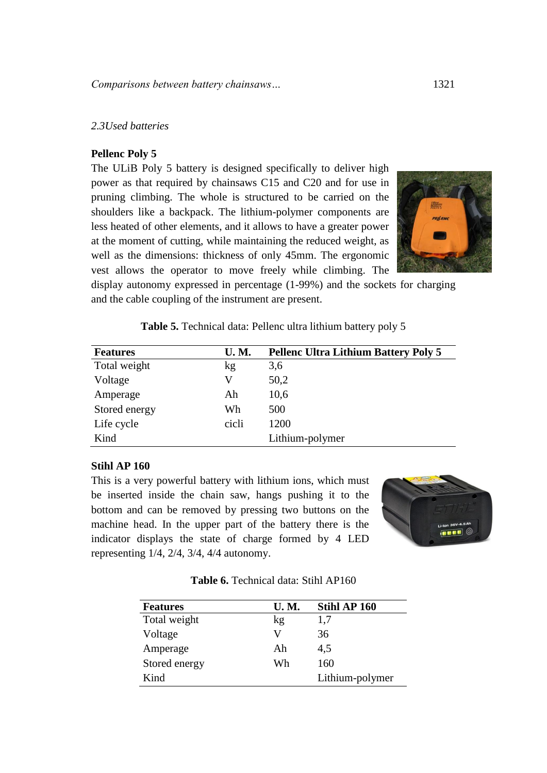## *2.3Used batteries*

#### **Pellenc Poly 5**

The ULiB Poly 5 battery is designed specifically to deliver high power as that required by chainsaws C15 and C20 and for use in pruning climbing. The whole is structured to be carried on the shoulders like a backpack. The lithium-polymer components are less heated of other elements, and it allows to have a greater power at the moment of cutting, while maintaining the reduced weight, as well as the dimensions: thickness of only 45mm. The ergonomic vest allows the operator to move freely while climbing. The



display autonomy expressed in percentage (1-99%) and the sockets for charging and the cable coupling of the instrument are present.

**Table 5.** Technical data: Pellenc ultra lithium battery poly 5

| <b>Features</b> | <b>U.M.</b> | <b>Pellenc Ultra Lithium Battery Poly 5</b> |
|-----------------|-------------|---------------------------------------------|
| Total weight    | kg          | 3,6                                         |
| Voltage         | V           | 50,2                                        |
| Amperage        | Ah          | 10,6                                        |
| Stored energy   | Wh          | 500                                         |
| Life cycle      | cicli       | 1200                                        |
| Kind            |             | Lithium-polymer                             |

### **Stihl AP 160**

This is a very powerful battery with lithium ions, which must be inserted inside the chain saw, hangs pushing it to the bottom and can be removed by pressing two buttons on the machine head. In the upper part of the battery there is the indicator displays the state of charge formed by 4 LED representing 1/4, 2/4, 3/4, 4/4 autonomy.



**Table 6.** Technical data: Stihl AP160

| <b>Features</b> | <b>U.M.</b> | Stihl AP 160    |
|-----------------|-------------|-----------------|
| Total weight    | kg          | 1,7             |
| Voltage         | V           | 36              |
| Amperage        | Ah          | 4,5             |
| Stored energy   | Wh          | 160             |
| Kind            |             | Lithium-polymer |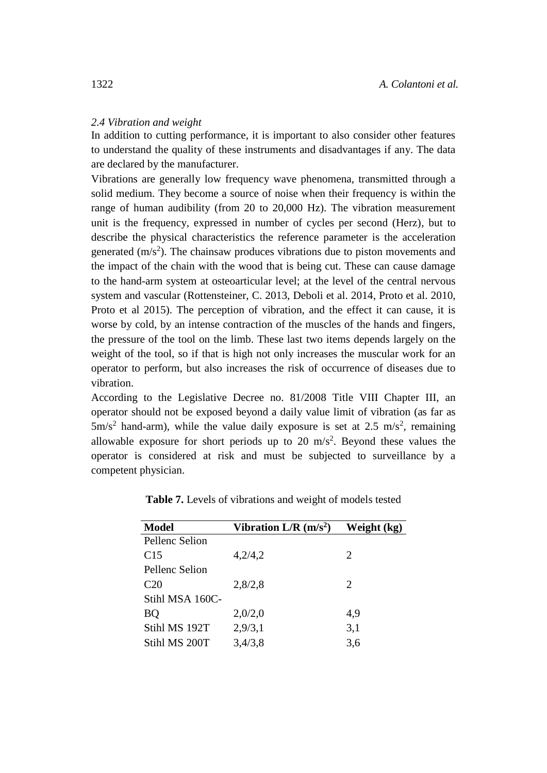#### *2.4 Vibration and weight*

In addition to cutting performance, it is important to also consider other features to understand the quality of these instruments and disadvantages if any. The data are declared by the manufacturer.

Vibrations are generally low frequency wave phenomena, transmitted through a solid medium. They become a source of noise when their frequency is within the range of human audibility (from 20 to 20,000 Hz). The vibration measurement unit is the frequency, expressed in number of cycles per second (Herz), but to describe the physical characteristics the reference parameter is the acceleration generated  $(m/s<sup>2</sup>)$ . The chainsaw produces vibrations due to piston movements and the impact of the chain with the wood that is being cut. These can cause damage to the hand-arm system at osteoarticular level; at the level of the central nervous system and vascular (Rottensteiner, C. 2013, Deboli et al. 2014, Proto et al. 2010, Proto et al 2015). The perception of vibration, and the effect it can cause, it is worse by cold, by an intense contraction of the muscles of the hands and fingers, the pressure of the tool on the limb. These last two items depends largely on the weight of the tool, so if that is high not only increases the muscular work for an operator to perform, but also increases the risk of occurrence of diseases due to vibration.

According to the Legislative Decree no. 81/2008 Title VIII Chapter III, an operator should not be exposed beyond a daily value limit of vibration (as far as  $5 \text{m/s}^2$  hand-arm), while the value daily exposure is set at 2.5 m/s<sup>2</sup>, remaining allowable exposure for short periods up to 20  $\text{m/s}^2$ . Beyond these values the operator is considered at risk and must be subjected to surveillance by a competent physician.

| <b>Model</b>    | Vibration $L/R$ (m/s <sup>2</sup> ) | Weight (kg)                 |
|-----------------|-------------------------------------|-----------------------------|
| Pellenc Selion  |                                     |                             |
| C <sub>15</sub> | 4,2/4,2                             | 2                           |
| Pellenc Selion  |                                     |                             |
| C <sub>20</sub> | 2,8/2,8                             | $\mathcal{D}_{\mathcal{L}}$ |
| Stihl MSA 160C- |                                     |                             |
| BQ              | 2,0/2,0                             | 4,9                         |
| Stihl MS 192T   | 2,9/3,1                             | 3,1                         |
| Stihl MS 200T   | 3,4/3,8                             | 3,6                         |

**Table 7.** Levels of vibrations and weight of models tested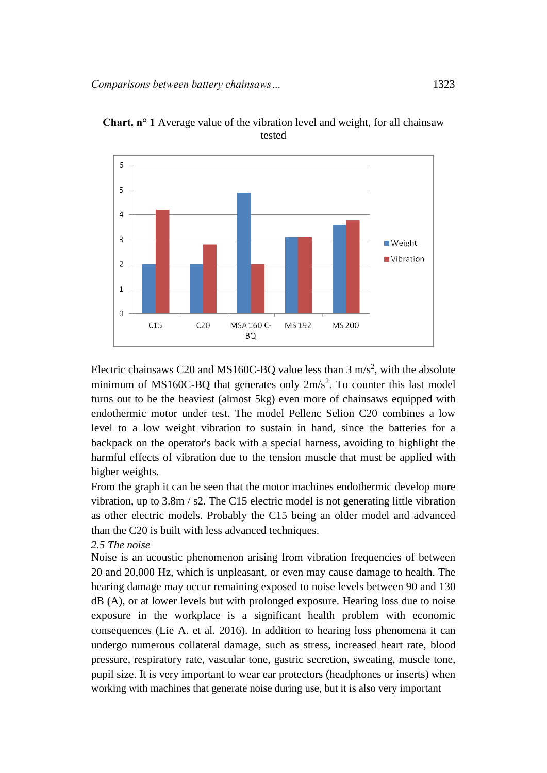



Electric chainsaws C20 and MS160C-BQ value less than  $3 \text{ m/s}^2$ , with the absolute minimum of MS160C-BQ that generates only  $2m/s^2$ . To counter this last model turns out to be the heaviest (almost 5kg) even more of chainsaws equipped with endothermic motor under test. The model Pellenc Selion C20 combines a low level to a low weight vibration to sustain in hand, since the batteries for a backpack on the operator's back with a special harness, avoiding to highlight the harmful effects of vibration due to the tension muscle that must be applied with higher weights.

From the graph it can be seen that the motor machines endothermic develop more vibration, up to 3.8m / s2. The C15 electric model is not generating little vibration as other electric models. Probably the C15 being an older model and advanced than the C20 is built with less advanced techniques.

#### *2.5 The noise*

Noise is an acoustic phenomenon arising from vibration frequencies of between 20 and 20,000 Hz, which is unpleasant, or even may cause damage to health. The hearing damage may occur remaining exposed to noise levels between 90 and 130 dB (A), or at lower levels but with prolonged exposure. Hearing loss due to noise exposure in the workplace is a significant health problem with economic consequences (Lie A. et al. 2016). In addition to hearing loss phenomena it can undergo numerous collateral damage, such as stress, increased heart rate, blood pressure, respiratory rate, vascular tone, gastric secretion, sweating, muscle tone, pupil size. It is very important to wear ear protectors (headphones or inserts) when working with machines that generate noise during use, but it is also very important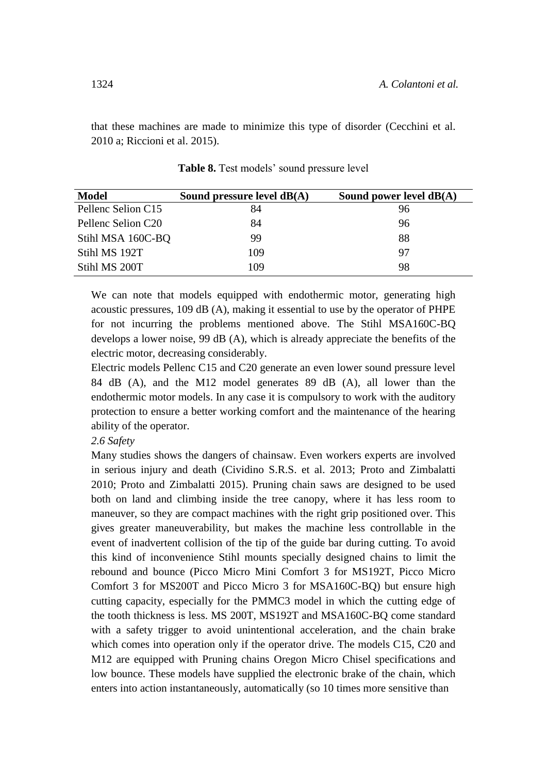that these machines are made to minimize this type of disorder (Cecchini et al. 2010 a; Riccioni et al. 2015).

| Model              | Sound pressure level $dB(A)$ | Sound power level $dB(A)$ |
|--------------------|------------------------------|---------------------------|
| Pellenc Selion C15 | 84                           | 96                        |
| Pellenc Selion C20 | 84                           | 96                        |
| Stihl MSA 160C-BQ  | 99                           | 88                        |
| Stihl MS 192T      | 109                          | 97                        |
| Stihl MS 200T      | 109                          | 98                        |

Table 8. Test models' sound pressure level

We can note that models equipped with endothermic motor, generating high acoustic pressures, 109 dB (A), making it essential to use by the operator of PHPE for not incurring the problems mentioned above. The Stihl MSA160C-BQ develops a lower noise, 99 dB (A), which is already appreciate the benefits of the electric motor, decreasing considerably.

Electric models Pellenc C15 and C20 generate an even lower sound pressure level 84 dB (A), and the M12 model generates 89 dB (A), all lower than the endothermic motor models. In any case it is compulsory to work with the auditory protection to ensure a better working comfort and the maintenance of the hearing ability of the operator.

#### *2.6 Safety*

Many studies shows the dangers of chainsaw. Even workers experts are involved in serious injury and death (Cividino S.R.S. et al. 2013; Proto and Zimbalatti 2010; Proto and Zimbalatti 2015). Pruning chain saws are designed to be used both on land and climbing inside the tree canopy, where it has less room to maneuver, so they are compact machines with the right grip positioned over. This gives greater maneuverability, but makes the machine less controllable in the event of inadvertent collision of the tip of the guide bar during cutting. To avoid this kind of inconvenience Stihl mounts specially designed chains to limit the rebound and bounce (Picco Micro Mini Comfort 3 for MS192T, Picco Micro Comfort 3 for MS200T and Picco Micro 3 for MSA160C-BQ) but ensure high cutting capacity, especially for the PMMC3 model in which the cutting edge of the tooth thickness is less. MS 200T, MS192T and MSA160C-BQ come standard with a safety trigger to avoid unintentional acceleration, and the chain brake which comes into operation only if the operator drive. The models C15, C20 and M12 are equipped with Pruning chains Oregon Micro Chisel specifications and low bounce. These models have supplied the electronic brake of the chain, which enters into action instantaneously, automatically (so 10 times more sensitive than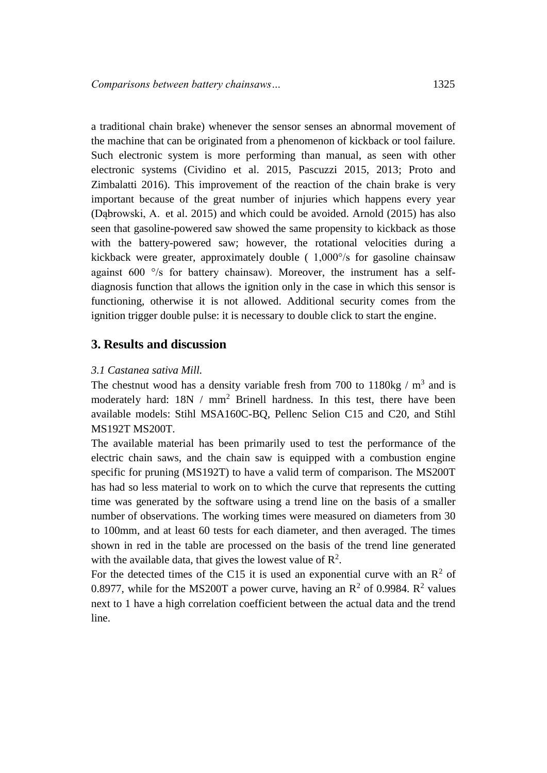a traditional chain brake) whenever the sensor senses an abnormal movement of the machine that can be originated from a phenomenon of kickback or tool failure. Such electronic system is more performing than manual, as seen with other electronic systems (Cividino et al. 2015, Pascuzzi 2015, 2013; Proto and Zimbalatti 2016). This improvement of the reaction of the chain brake is very important because of the great number of injuries which happens every year [\(Dąbrowski, A.](https://www.scopus.com/authid/detail.uri?authorId=55419666100&eid=2-s2.0-84964027808) et al. 2015) and which could be avoided. Arnold (2015) has also seen that gasoline-powered saw showed the same propensity to kickback as those with the battery-powered saw; however, the rotational velocities during a kickback were greater, approximately double ( 1,000°/s for gasoline chainsaw against  $600^\circ$ /s for battery chainsaw). Moreover, the instrument has a selfdiagnosis function that allows the ignition only in the case in which this sensor is functioning, otherwise it is not allowed. Additional security comes from the ignition trigger double pulse: it is necessary to double click to start the engine.

## **3. Results and discussion**

### *3.1 Castanea sativa Mill.*

The chestnut wood has a density variable fresh from 700 to  $1180\text{kg} / \text{m}^3$  and is moderately hard:  $18N / mm^2$  Brinell hardness. In this test, there have been available models: Stihl MSA160C-BQ, Pellenc Selion C15 and C20, and Stihl MS192T MS200T.

The available material has been primarily used to test the performance of the electric chain saws, and the chain saw is equipped with a combustion engine specific for pruning (MS192T) to have a valid term of comparison. The MS200T has had so less material to work on to which the curve that represents the cutting time was generated by the software using a trend line on the basis of a smaller number of observations. The working times were measured on diameters from 30 to 100mm, and at least 60 tests for each diameter, and then averaged. The times shown in red in the table are processed on the basis of the trend line generated with the available data, that gives the lowest value of  $\mathbb{R}^2$ .

For the detected times of the C15 it is used an exponential curve with an  $\mathbb{R}^2$  of 0.8977, while for the MS200T a power curve, having an  $R^2$  of 0.9984.  $R^2$  values next to 1 have a high correlation coefficient between the actual data and the trend line.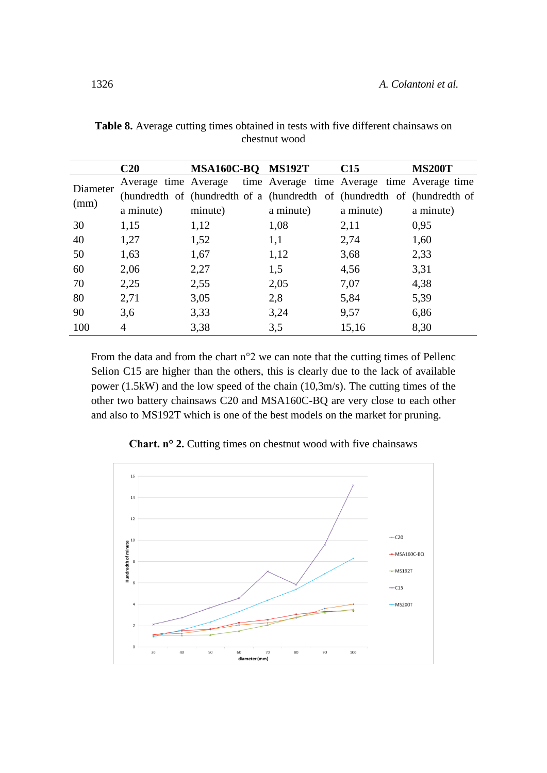|          | C20       | MSA160C-BQ MS192T                                                       |           | C15       | <b>MS200T</b> |
|----------|-----------|-------------------------------------------------------------------------|-----------|-----------|---------------|
| Diameter |           | Average time Average time Average time Average time Average time        |           |           |               |
|          |           | (hundredth of (hundredth of a (hundredth of (hundredth of (hundredth of |           |           |               |
| (mm)     | a minute) | minute)                                                                 | a minute) | a minute) | a minute)     |
| 30       | 1,15      | 1,12                                                                    | 1,08      | 2,11      | 0,95          |
| 40       | 1,27      | 1,52                                                                    | 1,1       | 2,74      | 1,60          |
| 50       | 1,63      | 1,67                                                                    | 1,12      | 3,68      | 2,33          |
| 60       | 2,06      | 2,27                                                                    | 1,5       | 4,56      | 3,31          |
| 70       | 2,25      | 2,55                                                                    | 2,05      | 7,07      | 4,38          |
| 80       | 2,71      | 3,05                                                                    | 2,8       | 5,84      | 5,39          |
| 90       | 3,6       | 3,33                                                                    | 3,24      | 9,57      | 6,86          |
| 100      | 4         | 3,38                                                                    | 3,5       | 15,16     | 8,30          |

**Table 8.** Average cutting times obtained in tests with five different chainsaws on chestnut wood

From the data and from the chart n°2 we can note that the cutting times of Pellenc Selion C15 are higher than the others, this is clearly due to the lack of available power (1.5kW) and the low speed of the chain (10,3m/s). The cutting times of the other two battery chainsaws C20 and MSA160C-BQ are very close to each other and also to MS192T which is one of the best models on the market for pruning.



**Chart. n° 2.** Cutting times on chestnut wood with five chainsaws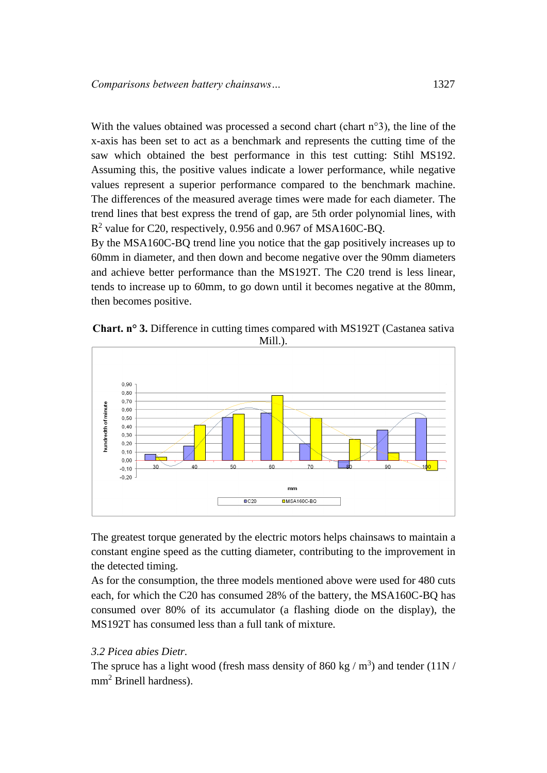With the values obtained was processed a second chart (chart n°3), the line of the x-axis has been set to act as a benchmark and represents the cutting time of the saw which obtained the best performance in this test cutting: Stihl MS192. Assuming this, the positive values indicate a lower performance, while negative values represent a superior performance compared to the benchmark machine. The differences of the measured average times were made for each diameter. The trend lines that best express the trend of gap, are 5th order polynomial lines, with  $R<sup>2</sup>$  value for C20, respectively, 0.956 and 0.967 of MSA160C-BQ.

By the MSA160C-BQ trend line you notice that the gap positively increases up to 60mm in diameter, and then down and become negative over the 90mm diameters and achieve better performance than the MS192T. The C20 trend is less linear, tends to increase up to 60mm, to go down until it becomes negative at the 80mm, then becomes positive.

**Chart. n° 3.** Difference in cutting times compared with MS192T (Castanea sativa Mill.).



The greatest torque generated by the electric motors helps chainsaws to maintain a constant engine speed as the cutting diameter, contributing to the improvement in the detected timing.

As for the consumption, the three models mentioned above were used for 480 cuts each, for which the C20 has consumed 28% of the battery, the MSA160C-BQ has consumed over 80% of its accumulator (a flashing diode on the display), the MS192T has consumed less than a full tank of mixture.

#### *3.2 Picea abies Dietr.*

The spruce has a light wood (fresh mass density of 860 kg  $/$  m<sup>3</sup>) and tender (11N  $/$ mm<sup>2</sup> Brinell hardness).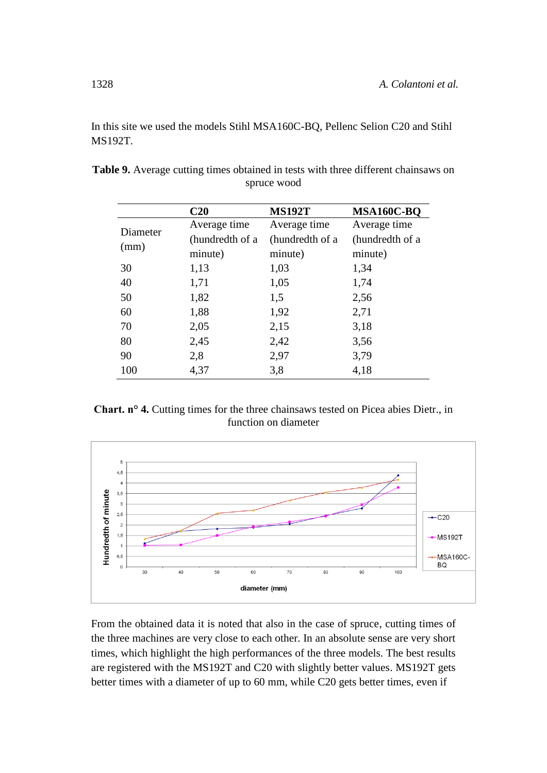In this site we used the models Stihl MSA160C-BQ, Pellenc Selion C20 and Stihl MS192T.

|          | C20             | <b>MS192T</b>   | MSA160C-BQ      |
|----------|-----------------|-----------------|-----------------|
| Diameter | Average time    | Average time    | Average time    |
|          | (hundredth of a | (hundredth of a | (hundredth of a |
| (mm)     | minute)         | minute)         | minute)         |
| 30       | 1,13            | 1,03            | 1,34            |
| 40       | 1,71            | 1,05            | 1,74            |
| 50       | 1,82            | 1,5             | 2,56            |
| 60       | 1,88            | 1,92            | 2,71            |
| 70       | 2,05            | 2,15            | 3,18            |
| 80       | 2,45            | 2,42            | 3,56            |
| 90       | 2,8             | 2,97            | 3,79            |
| 100      | 4,37            | 3,8             | 4,18            |

**Table 9.** Average cutting times obtained in tests with three different chainsaws on spruce wood

**Chart. n° 4.** Cutting times for the three chainsaws tested on Picea abies Dietr., in function on diameter



From the obtained data it is noted that also in the case of spruce, cutting times of the three machines are very close to each other. In an absolute sense are very short times, which highlight the high performances of the three models. The best results are registered with the MS192T and C20 with slightly better values. MS192T gets better times with a diameter of up to 60 mm, while C20 gets better times, even if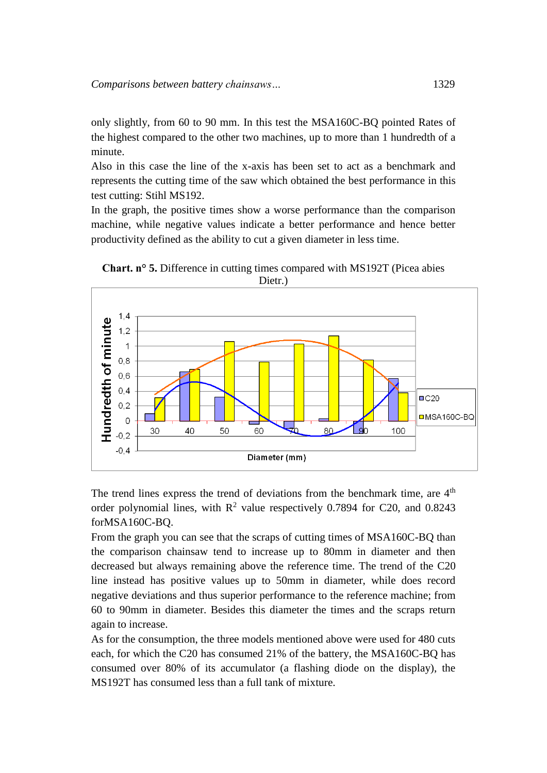only slightly, from 60 to 90 mm. In this test the MSA160C-BQ pointed Rates of the highest compared to the other two machines, up to more than 1 hundredth of a minute.

Also in this case the line of the x-axis has been set to act as a benchmark and represents the cutting time of the saw which obtained the best performance in this test cutting: Stihl MS192.

In the graph, the positive times show a worse performance than the comparison machine, while negative values indicate a better performance and hence better productivity defined as the ability to cut a given diameter in less time.



**Chart. n° 5.** Difference in cutting times compared with MS192T (Picea abies

The trend lines express the trend of deviations from the benchmark time, are  $4<sup>th</sup>$ order polynomial lines, with  $R^2$  value respectively 0.7894 for C20, and 0.8243 forMSA160C-BQ.

From the graph you can see that the scraps of cutting times of MSA160C-BQ than the comparison chainsaw tend to increase up to 80mm in diameter and then decreased but always remaining above the reference time. The trend of the C20 line instead has positive values up to 50mm in diameter, while does record negative deviations and thus superior performance to the reference machine; from 60 to 90mm in diameter. Besides this diameter the times and the scraps return again to increase.

As for the consumption, the three models mentioned above were used for 480 cuts each, for which the C20 has consumed 21% of the battery, the MSA160C-BQ has consumed over 80% of its accumulator (a flashing diode on the display), the MS192T has consumed less than a full tank of mixture.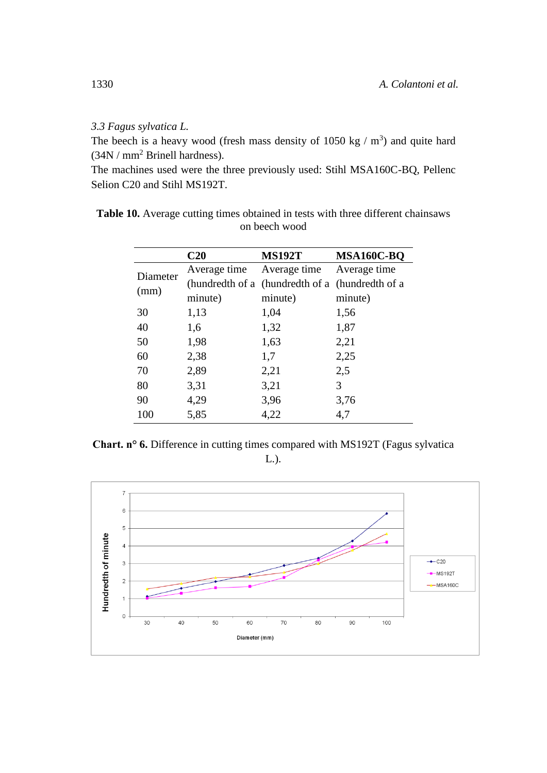### *3.3 Fagus sylvatica L.*

The beech is a heavy wood (fresh mass density of 1050 kg  $/$  m<sup>3</sup>) and quite hard (34N / mm<sup>2</sup> Brinell hardness).

The machines used were the three previously used: Stihl MSA160C-BQ, Pellenc Selion C20 and Stihl MS192T.

|          | C <sub>20</sub> | <b>MS192T</b>                                   | MSA160C-BQ   |
|----------|-----------------|-------------------------------------------------|--------------|
| Diameter | Average time    | Average time                                    | Average time |
| (mm)     |                 | (hundredth of a (hundredth of a (hundredth of a |              |
|          | minute)         | minute)                                         | minute)      |
| 30       | 1,13            | 1,04                                            | 1,56         |
| 40       | 1,6             | 1,32                                            | 1,87         |
| 50       | 1,98            | 1,63                                            | 2,21         |
| 60       | 2,38            | 1,7                                             | 2,25         |
| 70       | 2,89            | 2,21                                            | 2,5          |
| 80       | 3,31            | 3,21                                            | 3            |
| 90       | 4,29            | 3,96                                            | 3,76         |
| 100      | 5,85            | 4,22                                            | 4,7          |

**Table 10.** Average cutting times obtained in tests with three different chainsaws on beech wood

**Chart. n° 6.** Difference in cutting times compared with MS192T (Fagus sylvatica L.).

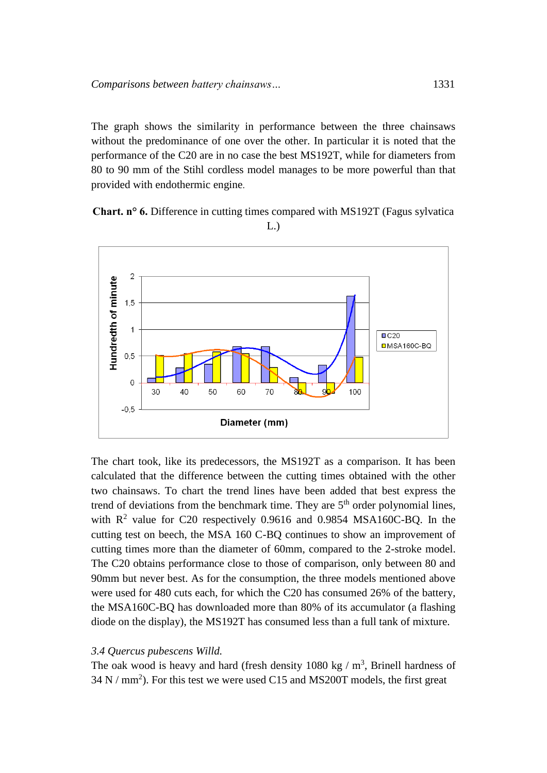The graph shows the similarity in performance between the three chainsaws without the predominance of one over the other. In particular it is noted that the performance of the C20 are in no case the best MS192T, while for diameters from 80 to 90 mm of the Stihl cordless model manages to be more powerful than that provided with endothermic engine.

**Chart. n° 6.** Difference in cutting times compared with MS192T (Fagus sylvatica L.)



The chart took, like its predecessors, the MS192T as a comparison. It has been calculated that the difference between the cutting times obtained with the other two chainsaws. To chart the trend lines have been added that best express the trend of deviations from the benchmark time. They are  $5<sup>th</sup>$  order polynomial lines, with  $R^2$  value for C20 respectively 0.9616 and 0.9854 MSA160C-BQ. In the cutting test on beech, the MSA 160 C-BQ continues to show an improvement of cutting times more than the diameter of 60mm, compared to the 2-stroke model. The C20 obtains performance close to those of comparison, only between 80 and 90mm but never best. As for the consumption, the three models mentioned above were used for 480 cuts each, for which the C20 has consumed 26% of the battery, the MSA160C-BQ has downloaded more than 80% of its accumulator (a flashing diode on the display), the MS192T has consumed less than a full tank of mixture.

#### *3.4 Quercus pubescens Willd.*

The oak wood is heavy and hard (fresh density  $1080 \text{ kg} / \text{m}^3$ , Brinell hardness of  $34$  N / mm<sup>2</sup>). For this test we were used C15 and MS200T models, the first great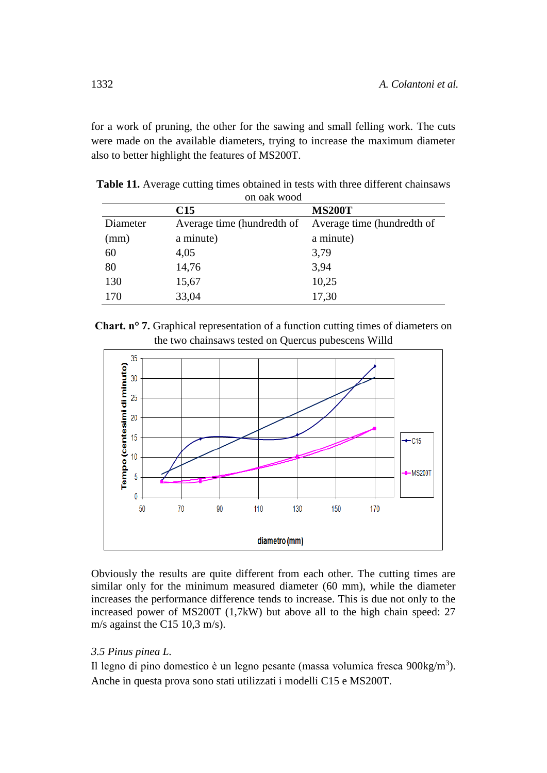for a work of pruning, the other for the sawing and small felling work. The cuts were made on the available diameters, trying to increase the maximum diameter also to better highlight the features of MS200T.

| on oak wood |                            |                            |  |  |
|-------------|----------------------------|----------------------------|--|--|
|             | C15                        | <b>MS200T</b>              |  |  |
| Diameter    | Average time (hundredth of | Average time (hundredth of |  |  |
| (mm)        | a minute)                  | a minute)                  |  |  |
| 60          | 4,05                       | 3,79                       |  |  |
| 80          | 14,76                      | 3,94                       |  |  |
| 130         | 15,67                      | 10,25                      |  |  |
| 170         | 33,04                      | 17,30                      |  |  |

**Table 11.** Average cutting times obtained in tests with three different chainsaws on oak wood





Obviously the results are quite different from each other. The cutting times are similar only for the minimum measured diameter (60 mm), while the diameter increases the performance difference tends to increase. This is due not only to the increased power of MS200T (1,7kW) but above all to the high chain speed: 27 m/s against the C15 10,3 m/s).

# *3.5 Pinus pinea L.*

Il legno di pino domestico è un legno pesante (massa volumica fresca 900kg/m<sup>3</sup>). Anche in questa prova sono stati utilizzati i modelli C15 e MS200T.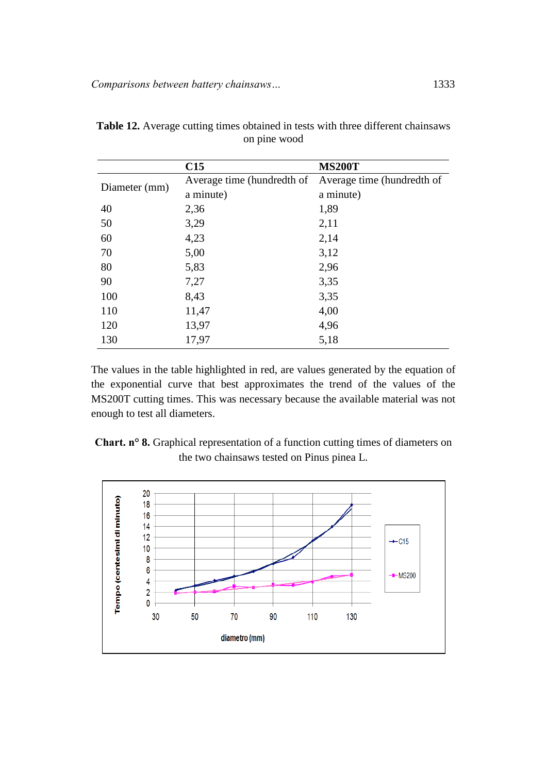|               | C15                        | <b>MS200T</b>              |
|---------------|----------------------------|----------------------------|
| Diameter (mm) | Average time (hundredth of | Average time (hundredth of |
|               | a minute)                  | a minute)                  |
| 40            | 2,36                       | 1,89                       |
| 50            | 3,29                       | 2,11                       |
| 60            | 4,23                       | 2,14                       |
| 70            | 5,00                       | 3,12                       |
| 80            | 5,83                       | 2,96                       |
| 90            | 7,27                       | 3,35                       |
| 100           | 8,43                       | 3,35                       |
| 110           | 11,47                      | 4,00                       |
| 120           | 13,97                      | 4,96                       |
| 130           | 17,97                      | 5,18                       |

**Table 12.** Average cutting times obtained in tests with three different chainsaws on pine wood

The values in the table highlighted in red, are values generated by the equation of the exponential curve that best approximates the trend of the values of the MS200T cutting times. This was necessary because the available material was not enough to test all diameters.



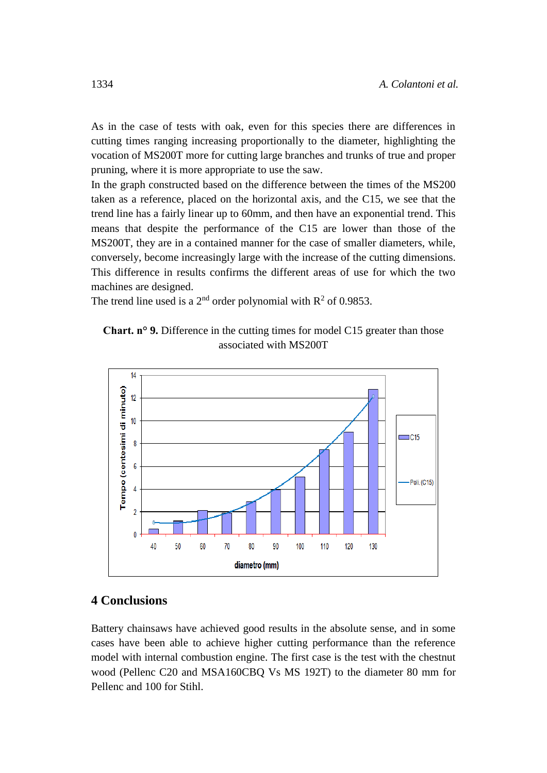As in the case of tests with oak, even for this species there are differences in cutting times ranging increasing proportionally to the diameter, highlighting the vocation of MS200T more for cutting large branches and trunks of true and proper pruning, where it is more appropriate to use the saw.

In the graph constructed based on the difference between the times of the MS200 taken as a reference, placed on the horizontal axis, and the C15, we see that the trend line has a fairly linear up to 60mm, and then have an exponential trend. This means that despite the performance of the C15 are lower than those of the MS200T, they are in a contained manner for the case of smaller diameters, while, conversely, become increasingly large with the increase of the cutting dimensions. This difference in results confirms the different areas of use for which the two machines are designed.

The trend line used is a 2<sup>nd</sup> order polynomial with  $\mathbb{R}^2$  of 0.9853.





# **4 Conclusions**

Battery chainsaws have achieved good results in the absolute sense, and in some cases have been able to achieve higher cutting performance than the reference model with internal combustion engine. The first case is the test with the chestnut wood (Pellenc C20 and MSA160CBQ Vs MS 192T) to the diameter 80 mm for Pellenc and 100 for Stihl.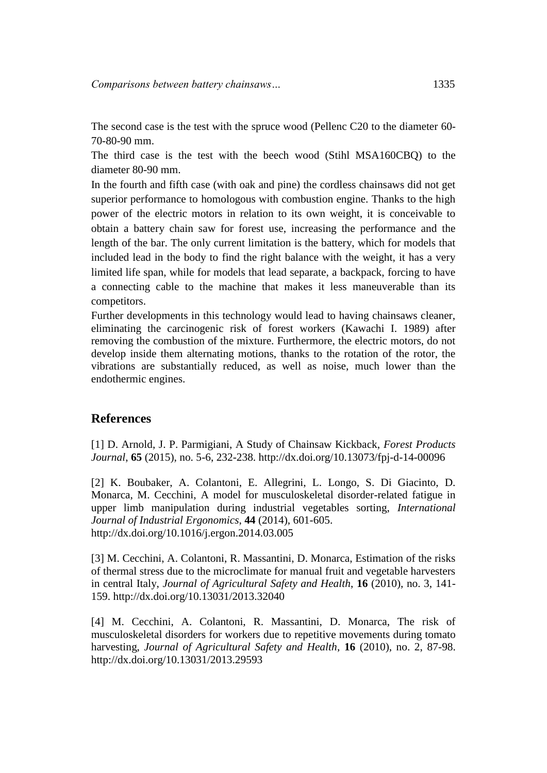The second case is the test with the spruce wood (Pellenc C20 to the diameter 60- 70-80-90 mm.

The third case is the test with the beech wood (Stihl MSA160CBQ) to the diameter 80-90 mm.

In the fourth and fifth case (with oak and pine) the cordless chainsaws did not get superior performance to homologous with combustion engine. Thanks to the high power of the electric motors in relation to its own weight, it is conceivable to obtain a battery chain saw for forest use, increasing the performance and the length of the bar. The only current limitation is the battery, which for models that included lead in the body to find the right balance with the weight, it has a very limited life span, while for models that lead separate, a backpack, forcing to have a connecting cable to the machine that makes it less maneuverable than its competitors.

Further developments in this technology would lead to having chainsaws cleaner, eliminating the carcinogenic risk of forest workers (Kawachi I. 1989) after removing the combustion of the mixture. Furthermore, the electric motors, do not develop inside them alternating motions, thanks to the rotation of the rotor, the vibrations are substantially reduced, as well as noise, much lower than the endothermic engines.

## **References**

[1] D. Arnold, J. P. Parmigiani, A Study of Chainsaw Kickback, *Forest Products Journal*, **65** (2015), no. 5-6, 232-238. http://dx.doi.org/10.13073/fpj-d-14-00096

[2] K. Boubaker, A. Colantoni, E. Allegrini, L. Longo, S. Di Giacinto, D. Monarca, M. Cecchini, A model for musculoskeletal disorder-related fatigue in upper limb manipulation during industrial vegetables sorting, *International Journal of Industrial Ergonomics*, **44** (2014), 601-605. http://dx.doi.org/10.1016/j.ergon.2014.03.005

[3] M. Cecchini, A. Colantoni, R. Massantini, D. Monarca, Estimation of the risks of thermal stress due to the microclimate for manual fruit and vegetable harvesters in central Italy, *Journal of Agricultural Safety and Health*, **16** (2010), no. 3, 141- 159.<http://dx.doi.org/10.13031/2013.32040>

[4] M. Cecchini, A. Colantoni, R. Massantini, D. Monarca, The risk of musculoskeletal disorders for workers due to repetitive movements during tomato harvesting, *Journal of Agricultural Safety and Health*, **16** (2010), no. 2, 87-98. <http://dx.doi.org/10.13031/2013.29593>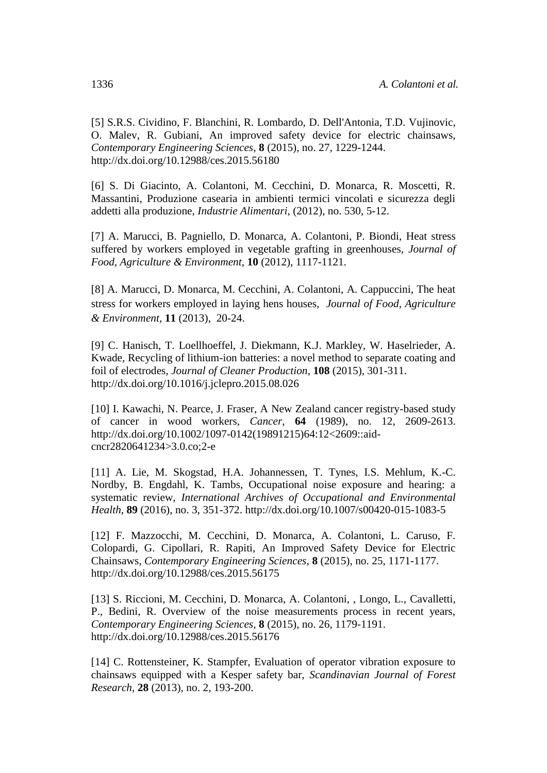[5] S.R.S. Cividino, F. Blanchini, R. Lombardo, D. Dell'Antonia, T.D. Vujinovic, O. Malev, R. Gubiani, An improved safety device for electric chainsaws, *[Contemporary Engineering Sciences](https://www.scopus.com/source/sourceInfo.uri?sourceId=21100265048&origin=recordpage)*, **8** (2015), no. 27, 1229-1244. <http://dx.doi.org/10.12988/ces.2015.56180>

[6] S. Di Giacinto, A. Colantoni, M. Cecchini, D. Monarca, R. Moscetti, R. Massantini, Produzione casearia in ambienti termici vincolati e sicurezza degli addetti alla produzione, *Industrie Alimentari*, (2012), no. 530, 5-12.

[7] A. Marucci, B. Pagniello, D. Monarca, A. Colantoni, P. Biondi, Heat stress suffered by workers employed in vegetable grafting in greenhouses, *Journal of Food, Agriculture & Environment*, **10** (2012), 1117-1121.

[8] A. Marucci, D. Monarca, M. Cecchini, A. Colantoni, A. Cappuccini, The heat stress for workers employed in laying hens houses, *Journal of Food, Agriculture & Environment*, **11** (2013), 20-24.

[9] C. Hanisch, T. Loellhoeffel, J. Diekmann, K.J. Markley, W. Haselrieder, A. Kwade, Recycling of lithium-ion batteries: a novel method to separate coating and foil of electrodes, *[Journal of Cleaner Production](https://www.scopus.com/source/sourceInfo.uri?sourceId=19167&origin=recordpage)*, **108** (2015), 301-311. <http://dx.doi.org/10.1016/j.jclepro.2015.08.026>

[10] I. Kawachi, N. Pearce, J. Fraser, A New Zealand cancer registry-based study of cancer in wood workers, *[Cancer](https://www.scopus.com/source/sourceInfo.uri?sourceId=28785&origin=recordpage)*, **64** (1989), no. 12, 2609-2613. [http://dx.doi.org/10.1002/1097-0142\(19891215\)64:12<2609::aid](http://dx.doi.org/10.1002/1097-0142%2819891215%2964:12%3C2609::aid-cncr2820641234%3E3.0.co;2-e)[cncr2820641234>3.0.co;2-e](http://dx.doi.org/10.1002/1097-0142%2819891215%2964:12%3C2609::aid-cncr2820641234%3E3.0.co;2-e) 

[11] A. Lie, M. Skogstad, H.A. Johannessen, T. Tynes, I.S. Mehlum, K.-C. Nordby, B. Engdahl, K. Tambs, Occupational noise exposure and hearing: a systematic review, *[International Archives of Occupational and Environmental](https://www.scopus.com/source/sourceInfo.uri?sourceId=29224&origin=recordpage)  [Health](https://www.scopus.com/source/sourceInfo.uri?sourceId=29224&origin=recordpage)*, **89** (2016), no. 3, 351-372.<http://dx.doi.org/10.1007/s00420-015-1083-5>

[12] F. Mazzocchi, M. Cecchini, D. Monarca, A. Colantoni, L. Caruso, F. Colopardi, G. Cipollari, R. Rapiti, An Improved Safety Device for Electric Chainsaws, *[Contemporary Engineering Sciences](https://www.scopus.com/source/sourceInfo.uri?sourceId=21100265048&origin=recordpage)*, **8** (2015), no. 25, 1171-1177. <http://dx.doi.org/10.12988/ces.2015.56175>

[13] S. Riccioni, M. Cecchini, D. Monarca, A. Colantoni, , Longo, L., Cavalletti, P., Bedini, R. Overview of the noise measurements process in recent years, *[Contemporary Engineering Sciences](https://www.scopus.com/source/sourceInfo.uri?sourceId=21100265048&origin=recordpage)*, **8** (2015), no. 26, 1179-1191. <http://dx.doi.org/10.12988/ces.2015.56176>

[14] C. Rottensteiner, K. Stampfer, Evaluation of operator vibration exposure to chainsaws equipped with a Kesper safety bar, *[Scandinavian Journal of Forest](https://www.scopus.com/source/sourceInfo.uri?sourceId=23610&origin=recordpage)  [Research](https://www.scopus.com/source/sourceInfo.uri?sourceId=23610&origin=recordpage)*, **28** (2013), no. 2, 193-200.